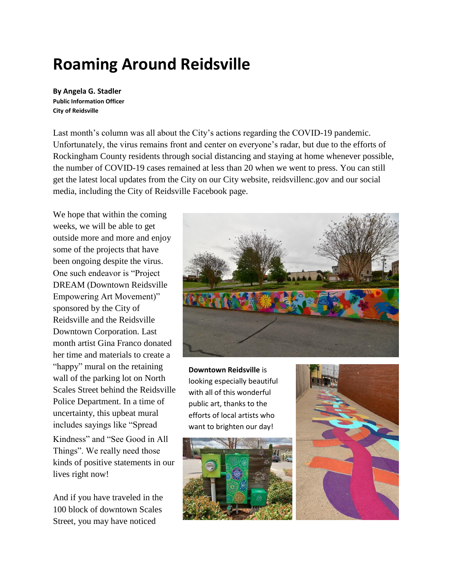## **Roaming Around Reidsville**

**By Angela G. Stadler Public Information Officer City of Reidsville**

Last month's column was all about the City's actions regarding the COVID-19 pandemic. Unfortunately, the virus remains front and center on everyone's radar, but due to the efforts of Rockingham County residents through social distancing and staying at home whenever possible, the number of COVID-19 cases remained at less than 20 when we went to press. You can still get the latest local updates from the City on our City website, reidsvillenc.gov and our social media, including the City of Reidsville Facebook page.

We hope that within the coming weeks, we will be able to get outside more and more and enjoy some of the projects that have been ongoing despite the virus. One such endeavor is "Project DREAM (Downtown Reidsville Empowering Art Movement)" sponsored by the City of Reidsville and the Reidsville Downtown Corporation. Last month artist Gina Franco donated her time and materials to create a "happy" mural on the retaining wall of the parking lot on North Scales Street behind the Reidsville Police Department. In a time of uncertainty, this upbeat mural includes sayings like "Spread Kindness" and "See Good in All Things". We really need those kinds of positive statements in our lives right now!

And if you have traveled in the 100 block of downtown Scales Street, you may have noticed



**Downtown Reidsville** is looking especially beautiful with all of this wonderful public art, thanks to the efforts of local artists who want to brighten our day!



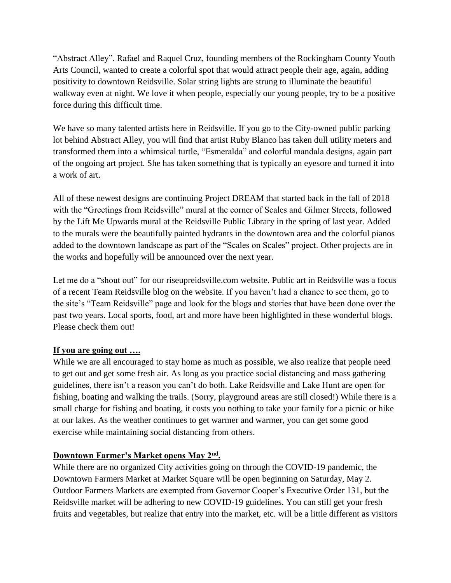"Abstract Alley". Rafael and Raquel Cruz, founding members of the Rockingham County Youth Arts Council, wanted to create a colorful spot that would attract people their age, again, adding positivity to downtown Reidsville. Solar string lights are strung to illuminate the beautiful walkway even at night. We love it when people, especially our young people, try to be a positive force during this difficult time.

We have so many talented artists here in Reidsville. If you go to the City-owned public parking lot behind Abstract Alley, you will find that artist Ruby Blanco has taken dull utility meters and transformed them into a whimsical turtle, "Esmeralda" and colorful mandala designs, again part of the ongoing art project. She has taken something that is typically an eyesore and turned it into a work of art.

All of these newest designs are continuing Project DREAM that started back in the fall of 2018 with the "Greetings from Reidsville" mural at the corner of Scales and Gilmer Streets, followed by the Lift Me Upwards mural at the Reidsville Public Library in the spring of last year. Added to the murals were the beautifully painted hydrants in the downtown area and the colorful pianos added to the downtown landscape as part of the "Scales on Scales" project. Other projects are in the works and hopefully will be announced over the next year.

Let me do a "shout out" for our riseupreidsville.com website. Public art in Reidsville was a focus of a recent Team Reidsville blog on the website. If you haven't had a chance to see them, go to the site's "Team Reidsville" page and look for the blogs and stories that have been done over the past two years. Local sports, food, art and more have been highlighted in these wonderful blogs. Please check them out!

## **If you are going out ….**

While we are all encouraged to stay home as much as possible, we also realize that people need to get out and get some fresh air. As long as you practice social distancing and mass gathering guidelines, there isn't a reason you can't do both. Lake Reidsville and Lake Hunt are open for fishing, boating and walking the trails. (Sorry, playground areas are still closed!) While there is a small charge for fishing and boating, it costs you nothing to take your family for a picnic or hike at our lakes. As the weather continues to get warmer and warmer, you can get some good exercise while maintaining social distancing from others.

## **Downtown Farmer's Market opens May 2nd .**

While there are no organized City activities going on through the COVID-19 pandemic, the Downtown Farmers Market at Market Square will be open beginning on Saturday, May 2. Outdoor Farmers Markets are exempted from Governor Cooper's Executive Order 131, but the Reidsville market will be adhering to new COVID-19 guidelines. You can still get your fresh fruits and vegetables, but realize that entry into the market, etc. will be a little different as visitors